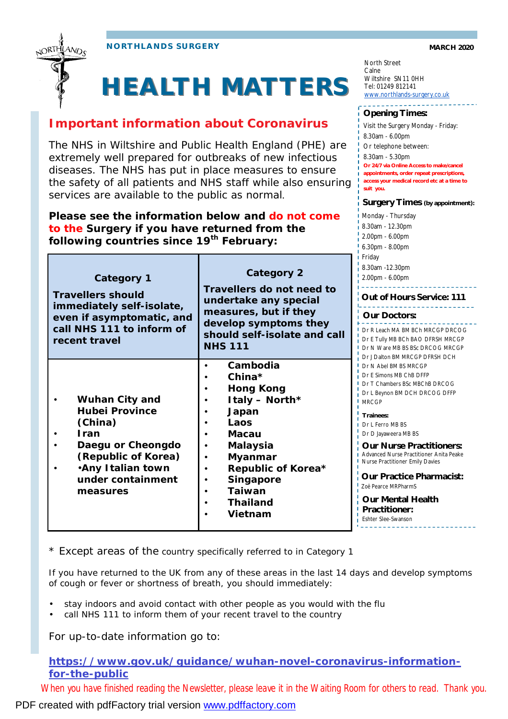

## **HEALTH MATTERS**

## **Important information about Coronavirus**

The NHS in Wiltshire and Public Health England (PHE) are extremely well prepared for outbreaks of new infectious diseases. The NHS has put in place measures to ensure the safety of all patients and NHS staff while also ensuring services are available to the public as normal.

**Please see the information below and do not come to the Surgery if you have returned from the following countries since 19th February:**

| Category 1<br><b>Travellers should</b><br>immediately self-isolate,<br>even if asymptomatic, and<br>call NHS 111 to inform of<br>recent travel                              | <b>Category 2</b><br>Travellers do not need to<br>undertake any special<br>measures, but if they<br>develop symptoms they<br>should self-isolate and call<br><b>NHS 111</b>                           | .<br>8.3 <sub>0</sub><br>2.00<br>Οı<br>Οı<br>Dr I<br>Dr I<br>Dr <sub>1</sub><br>Dr J                                                            |
|-----------------------------------------------------------------------------------------------------------------------------------------------------------------------------|-------------------------------------------------------------------------------------------------------------------------------------------------------------------------------------------------------|-------------------------------------------------------------------------------------------------------------------------------------------------|
| <b>Wuhan City and</b><br><b>Hubei Province</b><br>(China)<br><b>Iran</b><br>Daegu or Cheongdo<br>(Republic of Korea)<br>. Any Italian town<br>under containment<br>measures | Cambodia<br>China $*$<br>Hong Kong<br>Italy - North*<br>Japan<br>Laos<br><b>Macau</b><br>Malaysia<br>Myanmar<br>Republic of Korea*<br><b>Singapore</b><br><b>Taiwan</b><br><b>Thailand</b><br>Vietnam | Dr <sub>1</sub><br>Dr I<br>Dr<br>Dr I<br>MR <sub>(</sub><br>Tra<br>Dr <sub>1</sub><br>Dr I<br>Οι<br>Adv<br>Nur<br>Οι<br>Zoë<br>Οι<br>Pr<br>Esht |

North Street Calne Wiltshire SN11 0HH Tel: 01249 812141 [www.northlands-surgery.co.uk](http://www.northlands-surgery.co.uk)

\_\_\_\_\_\_\_\_\_\_\_\_\_\_\_\_\_\_\_\_

## **Opening Times:**

Monday - Thursday 8.30am - 12.30pm **Surgery Times (by appointment):** Visit the Surgery Monday - Friday: 8.30am - 6.00pm Or telephone between: 8.30am - 5.30pm **Or 24/7 via Online Access to make/cancel appointments, order repeat prescriptions, access your medical record etc at a time to suit you.** 

R Leach MA BM BCh MRCGP DRCOG E Tully MB BCh BAO DFRSH MRCGP N Ware MB BS BSc DRCOG MRCGP Dalton BM MRCGP DFRSH DCH **Our Doctors:**  2.00pm - 6.00pm 6.30pm - 8.00pm Friday 0am -12.30pm 0pm - 6.00pm **Out of Hours Service: 111**

- N Abel BM BS MRCGP
- F Simons MB ChB DFFP
- T Chambers BSc MBChB DRCOG L Beynon BM DCH DRCOG DFFP CGP
- **Trainees:**
- L Ferro MB BS
- D Javaweera MB BS

**Our Nurse Practitioners:**  anced Nurse Practitioner Anita Peake rse Practitioner Emily Davies

**Our Practice Pharmacist:**  Pearce MRPharmS

**Our Mental Health Practitioner:**  ter Slee-Swanson

\* Except areas of the country specifically referred to in Category 1

If you have returned to the UK from any of these areas in the last 14 days and develop symptoms of cough or fever or shortness of breath, you should immediately:

- stay indoors and avoid contact with other people as you would with the flu
- call NHS 111 to inform them of your recent travel to the country

For up-to-date information go to:

**<https://www.gov.uk/guidance/wuhan-novel-coronavirus-information>for-the-public**

*When you have finished reading the Newsletter, please leave it in the Waiting Room for others to read. Thank you.* 

PDF created with pdfFactory trial version [www.pdffactory.com](http://www.pdffactory.com)